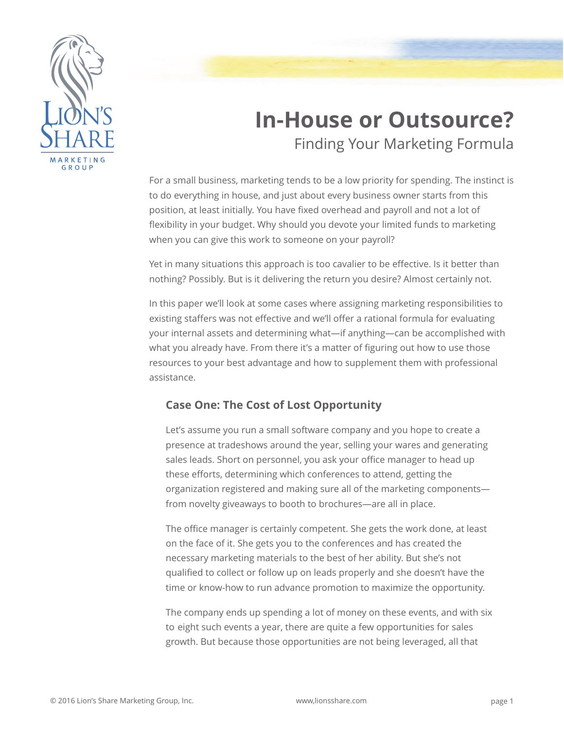

# **In-House or Outsource?** Finding Your Marketing Formula

For a small business, marketing tends to be a low priority for spending. The instinct is to do everything in house, and just about every business owner starts from this position, at least initially. You have fixed overhead and payroll and not a lot of flexibility in your budget. Why should you devote your limited funds to marketing when you can give this work to someone on your payroll?

Yet in many situations this approach is too cavalier to be effective. Is it better than nothing? Possibly. But is it delivering the return you desire? Almost certainly not.

In this paper we'll look at some cases where assigning marketing responsibilities to existing staffers was not effective and we'll offer a rational formula for evaluating your internal assets and determining what—if anything—can be accomplished with what you already have. From there it's a matter of figuring out how to use those resources to your best advantage and how to supplement them with professional assistance.

## **Case One: The Cost of Lost Opportunity**

Let's assume you run a small software company and you hope to create a presence at tradeshows around the year, selling your wares and generating sales leads. Short on personnel, you ask your office manager to head up these efforts, determining which conferences to attend, getting the organization registered and making sure all of the marketing components from novelty giveaways to booth to brochures—are all in place.

The office manager is certainly competent. She gets the work done, at least on the face of it. She gets you to the conferences and has created the necessary marketing materials to the best of her ability. But she's not qualified to collect or follow up on leads properly and she doesn't have the time or know-how to run advance promotion to maximize the opportunity.

The company ends up spending a lot of money on these events, and with six to eight such events a year, there are quite a few opportunities for sales growth. But because those opportunities are not being leveraged, all that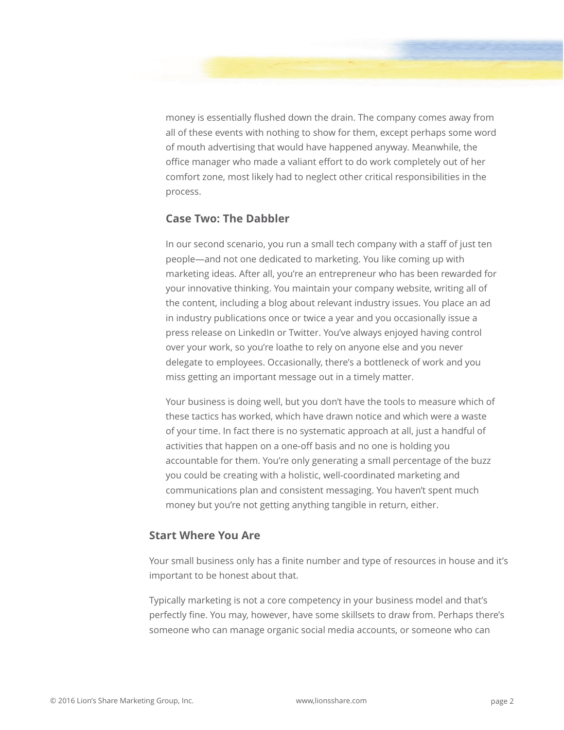money is essentially flushed down the drain. The company comes away from all of these events with nothing to show for them, except perhaps some word of mouth advertising that would have happened anyway. Meanwhile, the office manager who made a valiant effort to do work completely out of her comfort zone, most likely had to neglect other critical responsibilities in the process.

## **Case Two: The Dabbler**

In our second scenario, you run a small tech company with a staff of just ten people—and not one dedicated to marketing. You like coming up with marketing ideas. After all, you're an entrepreneur who has been rewarded for your innovative thinking. You maintain your company website, writing all of the content, including a blog about relevant industry issues. You place an ad in industry publications once or twice a year and you occasionally issue a press release on LinkedIn or Twitter. You've always enjoyed having control over your work, so you're loathe to rely on anyone else and you never delegate to employees. Occasionally, there's a bottleneck of work and you miss getting an important message out in a timely matter.

Your business is doing well, but you don't have the tools to measure which of these tactics has worked, which have drawn notice and which were a waste of your time. In fact there is no systematic approach at all, just a handful of activities that happen on a one-off basis and no one is holding you accountable for them. You're only generating a small percentage of the buzz you could be creating with a holistic, well-coordinated marketing and communications plan and consistent messaging. You haven't spent much money but you're not getting anything tangible in return, either.

#### **Start Where You Are**

Your small business only has a finite number and type of resources in house and it's important to be honest about that.

Typically marketing is not a core competency in your business model and that's perfectly fine. You may, however, have some skillsets to draw from. Perhaps there's someone who can manage organic social media accounts, or someone who can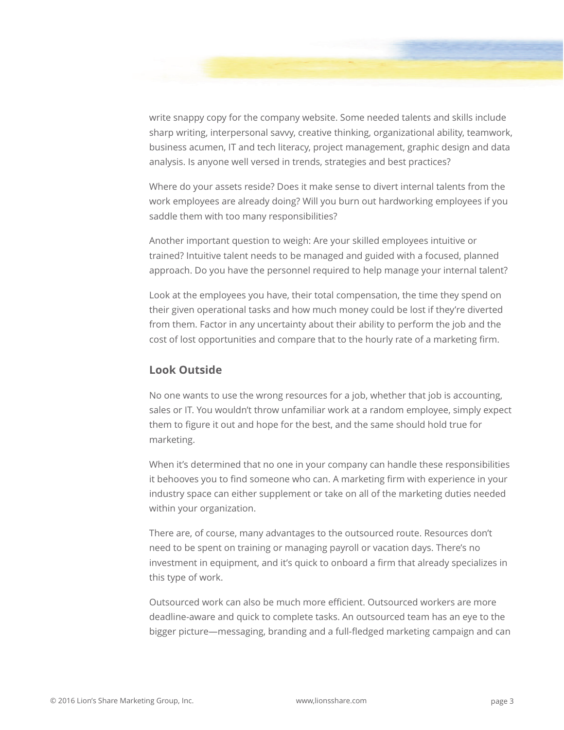

write snappy copy for the company website. Some needed talents and skills include sharp writing, interpersonal savvy, creative thinking, organizational ability, teamwork, business acumen, IT and tech literacy, project management, graphic design and data analysis. Is anyone well versed in trends, strategies and best practices?

Where do your assets reside? Does it make sense to divert internal talents from the work employees are already doing? Will you burn out hardworking employees if you saddle them with too many responsibilities?

Another important question to weigh: Are your skilled employees intuitive or trained? Intuitive talent needs to be managed and guided with a focused, planned approach. Do you have the personnel required to help manage your internal talent?

Look at the employees you have, their total compensation, the time they spend on their given operational tasks and how much money could be lost if they're diverted from them. Factor in any uncertainty about their ability to perform the job and the cost of lost opportunities and compare that to the hourly rate of a marketing firm.

## **Look Outside**

No one wants to use the wrong resources for a job, whether that job is accounting, sales or IT. You wouldn't throw unfamiliar work at a random employee, simply expect them to figure it out and hope for the best, and the same should hold true for marketing.

When it's determined that no one in your company can handle these responsibilities it behooves you to find someone who can. A marketing firm with experience in your industry space can either supplement or take on all of the marketing duties needed within your organization.

There are, of course, many advantages to the outsourced route. Resources don't need to be spent on training or managing payroll or vacation days. There's no investment in equipment, and it's quick to onboard a firm that already specializes in this type of work.

Outsourced work can also be much more efficient. Outsourced workers are more deadline-aware and quick to complete tasks. An outsourced team has an eye to the bigger picture—messaging, branding and a full-fledged marketing campaign and can